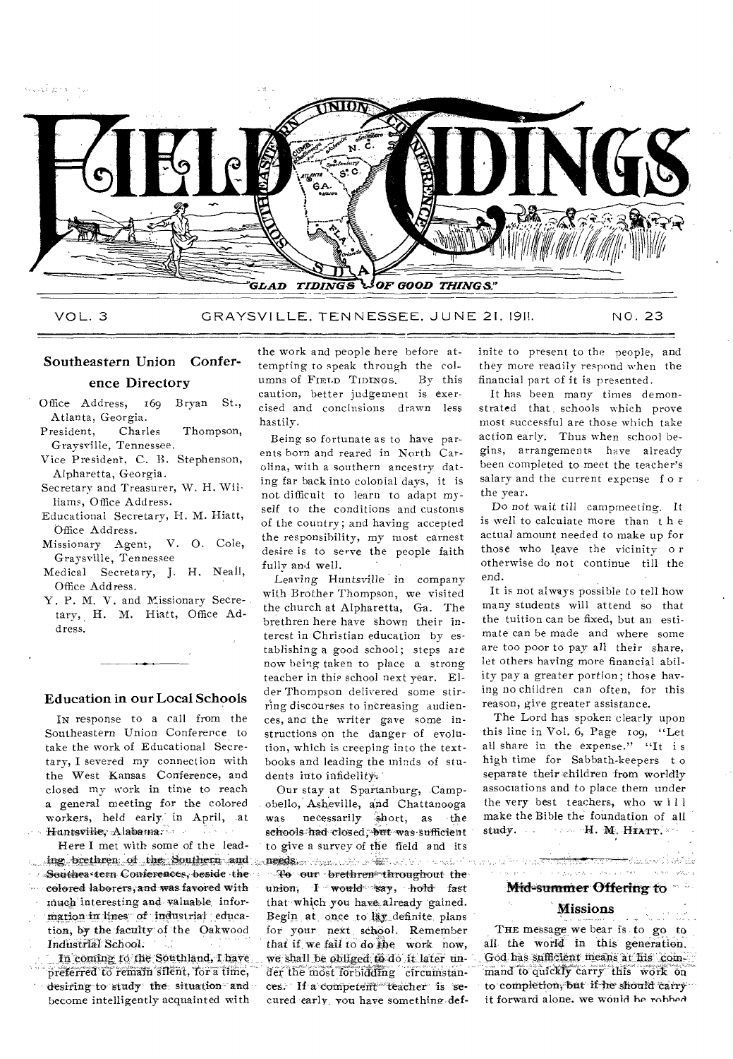

VOL. 3 GRAYSVILLE, TENNESSEE, JUNE 21, 1911. NO. 23

# Southeastern Union Conference Directory

- Office Address, 169 Bryan St., Atlanta, Georgia.
- President, Charles Thompson, Graysville, Tennessee.
- Vice President, C. B. Stephenson, Alpharetta, Georgia.
- Secretary and Treasurer, W. H. Williams, Office Address.
- Educational Secretary, H. M. Hiatt, Office Address.
- Missionary Agent, V. 0. Cole, Graysville, Tennessee
- Medical Secretary, J. H. Neall, Office Address.
- Y. P. M. V. and Missionary Secretary, H. M. Hiatt, Office Address.

### Education in our Local Schools

IN response to a call from the Southeastern Union Conference to take the work of Educational Secretary, I severed my connection with the West Kansas Conference, and closed my work in time to reach a general meeting for the colored workers, held early in April, at Huntsville, Alabama.

Here I met with some of the leading brethren of the Southern and • Southea tern Conferences, beside the eolored laborers, and was favored with much interesting and valuable, information in lines of industrial education, by the faculty of the Oakwood Industrial School.

In coming to the Southland, I have preferred to remain silent, for a time, desiring-to study the situation and become intelligently acquainted with

the work and people here before attempting to speak through the col-<br>umns of FIRLD TIDINGS By this umns of FIELD TIDINGS caution, better judgement is exercised and conclusions drawn less hastily.

Being so fortunate as to have parents born and reared in North Carolina, with a southern ancestry dating far back into colonial days, it is not difficult to learn to adapt myself to the conditions and customs of the country; and having accepted the responsibility, my most earnest desire is to serve the people faith fully and well.

Leaving Huntsville in company with Brother Thompson, we visited the church at Alpharetta, Ga. The brethren here have shown their interest in Christian education by establishing a good school; steps are now being taken to place a strong teacher in this school next year. Elder Thompson delivered some stirring discourses to increasing audiences, and the writer gave some instructions on the danger of evolution, which is creeping into the textbooks and leading the minds of students into infidelity.

Our stay at Spartanburg, Campobello, Asheville, and Chattanooga was necessarily short, as the schools had closed; but was sufficient to give a survey of the field and its research to give a survey of the field and its To our brethren throughout the union, I would say, hold fast that which you have already gained. Begin at once to lay definite plans for your next school, Remember

that if we fail to do the work now, we shall be obliged to do ft:later untar the most forbidding cfreunistances. If a competent teacher is secured early you have something definite to present to the people, and they more readily respond when the financial part of it is presented.

It has been many times demonstrated that schools which prove most successful are those which take action early. Thus when school begins, arrangements have already been completed to meet the teacher's salary and the current expense for the year.

Do not wait till carnprneeting. It is well to calculate more than t h e actual amount needed to make up for those who leave the vicinity o r otherwise do not continue till the end.

It is not always possible to tell how many students will attend so that the tuition can be fixed, but an estimate can be made and where some are too poor to pay all their share, let others having more financial ability pay a greater portion; those having no children can often, for this reason, give greater assistance.

The Lord has spoken clearly upon this line in Vol. 6, Page 109, "Let all share in the expense." "It is high time for Sabbath-keepers t o separate their children from worldly associations and to place them under the very best teachers, who will make the Bible the foundation of all study.  $\cdots$  H. M. HTATT.

### Pressure to the contract of the con-Mid-summer Offering to

لمتنازعين أرادوحه رزايحة

### Missions

THE message we bear is to go to all the world in this generation. God has sufficient means at his command to quickly carry this work on to completion, but if he should carry it forward alone. we would he robbed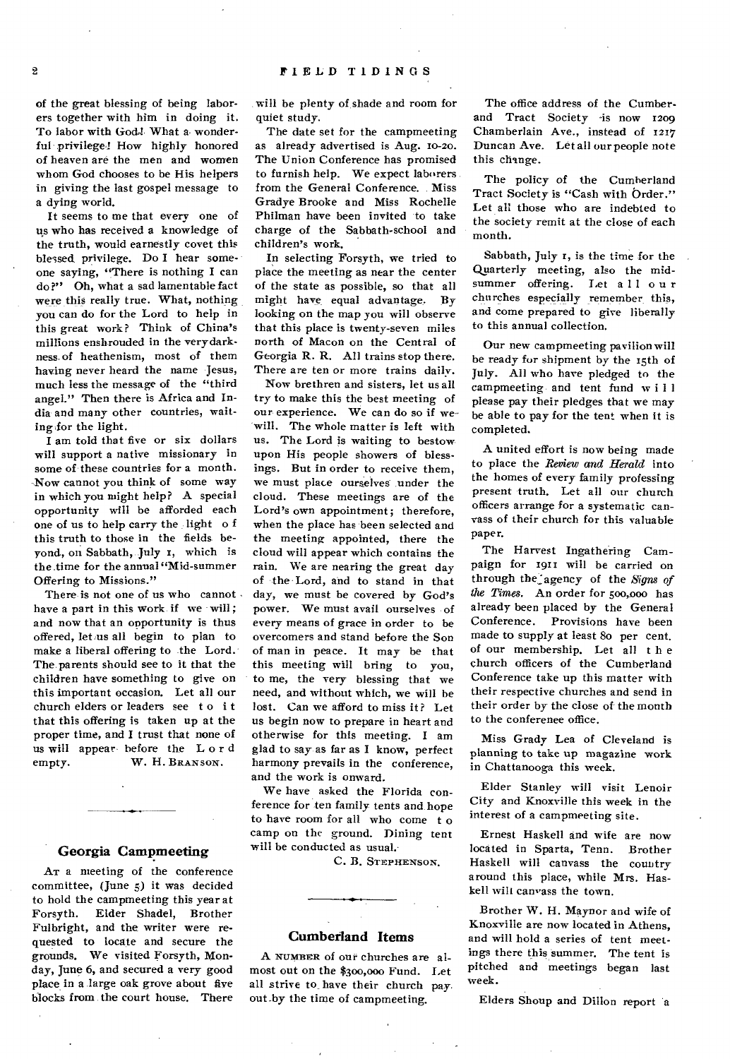of the great blessing of being laborers together with him in doing it. To labor with God4 What a wonderful privilege! How highly honored of heaven are the men and women whom God chooses to be His helpers in giving the last gospel message to a dying world.

It seems to me that every one of us who has received a knowledge of the truth, would earnestly covet this blessed privilege. Do I hear someone saying, "There is nothing I can do?" Oh, what a sad lamentable fact were this really true. What, nothing you can do for the Lord to help in this great work? Think of China's millions enshrouded in the very darkness of heathenism, most of them having never heard the name Jesus, much less the message of the "third angel." Then there is Africa and India and many other countries, waiting.for the light.

I am told that five or six dollars will support a native missionary in some of these countries for a month. Now cannot you think of some way in which you might help? A special opportunity will be afforded each one of us to help carry the light o f this truth to those in the fields beyond, on Sabbath, July t, which is the time for the annual "Mid-summer Offering to Missions."

There is not one of us who cannot. have a part in this work if we will; and now that an opportunity is thus offered, let us all begin to plan to make a liberal offering to the Lord. The parents should see to it that the children have something to give on this important occasion. Let all our church elders or leaders see to it that this offering is taken up at the proper time, and I trust that none of us will appear before the Lord<br>empty. W. H. BRANSON. W. H. BRANSON.

### **Georgia Campmeeting**

AT a meeting of the conference committee, (June 5) it was decided to hold the campmeeting this year at Forsyth. Elder Shadel, Brother Fulbright, and the writer were requested to locate and secure the grounds. We visited Forsyth, Monday, June 6, and secured a very good place in a large oak grove about five blocks from the court house. There

will be plenty of, shade and room for quiet study.

The date set for the campmeeting as already advertised is Aug. to-zo. The Union Conference has promised to furnish help. We expect laborers from the General Conference. Miss Gradye Brooke and Miss Rochelle Philman have been invited to take charge of the Sabbath-school and children's work.

In selecting Forsyth, we tried to place the meeting as near the center of the state as possible, so that all might have equal advantage. By looking on the map you will observe that this place is twenty-seven miles north of Macon on the Central of Georgia R. R. All trains stop there. There are ten or more trains daily.

Now brethren and sisters, let us all try to make this the best meeting of our experience. We can do so if wewill. The whole matter is left with us. The Lord is waiting to bestow upon His people showers of blessings. But in order to receive them, we must place ourselves under the cloud. These meetings are of the Lord's own appointment; therefore, when the place has been selected and the meeting appointed, there the cloud will appear which contains the rain. We are nearing the great day of the Lord, and to stand in that day, we must be covered by God's power. We must avail ourselves of every means of grace in order to be overcomers and stand before the Son of man in peace. It may be that this meeting will bring to you, to me, the very blessing that we need, and without which, we will be lost. Can we afford to miss it? Let us begin now to prepare in heart and otherwise for this meeting. I am glad to say as far as I know, perfect harmony prevails in the conference, and the work is onward.

We have asked the Florida conference for ten family tents and hope to have room for all who come t o camp on the ground. Dining tent will be conducted as usual.

C. B. STEPHENSON.

### **Cumberland Items**

A NUMBER of our churches are almost out on the \$300,000 Fund. Let all strive to\_ have their church pay. out\_by the time of campmeeting.

The office address of the Cumberand Tract Society -is now 1209 Chamberlain Ave., instead of 1217 Duncan Ave. Let all our people note this change.

The policy of the Cumberland Tract Society is "Cash with Order." Let all those who are indebted to the society remit at the close of each month.

Sabbath, July r, is the time for the Quarterly meeting, also the midsummer offering. Let all our churches especially remember this, and come prepared to give liberally to this annual collection.

Our new campmeeting pavilion will be ready for shipment by the 15th of July. All who have pledged to the campmeeting and tent fund w i 1 I please pay their pledges that we may be able to pay for the tent when it is completed.

A united effort is now being made to place the *Review and Herald* into the homes of every family professing present truth. Let all our church officers arrange for a systematic canvass of their church for this valuable paper.

The Harvest Ingathering Campaign for 1911 will be carried on through the: agency of the *Signs of the Times.* An order for 500,o00 has already been placed by the General Conference. Provisions have been made to supply at least So per cent. of our membership. Let all t h e church officers of the Cumberland Conference take up this matter with their respective churches and send in their order by the close of the month to the conferenee office.

Miss Grady Lea of Cleveland is planning to take up magazine work in Chattanooga this week.

Elder Stanley will visit Lenoir City and Knoxville this week in the interest of a campmeeting site.

Ernest Haskell and wife are now located in Sparta, Tenn. Brother Haskell will canvass the country around this place, while Mrs. Haskell wilt canvass the town.

Brother W. H. Maynor and wife of Knoxville are now located in Athens, and will hold a series of tent meetings there this summer. The tent is pitched and meetings began last week.

Elders Shoup and Dillon report a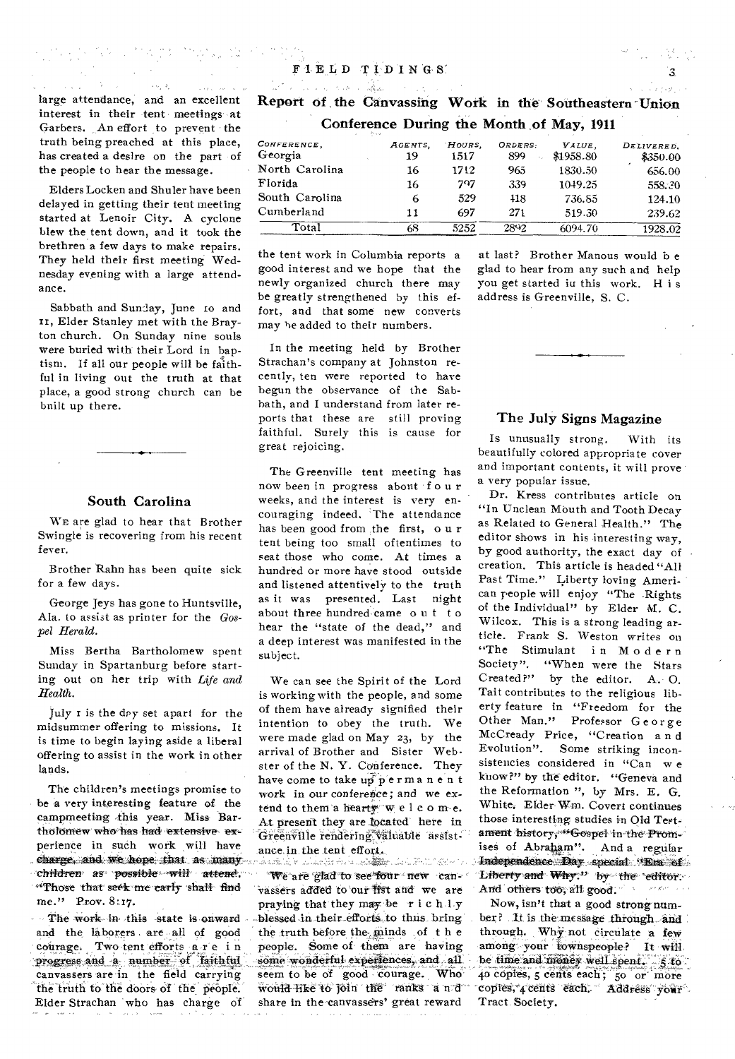large attendance, and an excellent interest in their tent meetings at Garbers. An effort to prevent the truth being preached at this place, has created a desire on the part of the people to hear the message.

Elders Locken and Shuler have been delayed in getting their tent meeting started at Lenoir City. A cyclone blew the tent down, and it took the brethren a few days to make repairs. They held their first meeting Wednesday evening with a large attendance.

Sabbath and Sunday, June 10 and It, Elder Stanley met with the Brayton church. On Sunday nine souls were buried with their Lord in baptism. If all our people will he faithful in living out the truth at that place, a good strong church can be built up there.

### South Carolina

WE are glad to hear that Brother Swingle is recovering from his recent fever.

Brother Rahn has been quite sick for a few days.

George Jeys has gone to Huntsville, Ala. to assist as printer for the *Gospel Herald.* 

Miss Bertha Bartholomew spent Sunday in Spartanburg before starting out on her trip with *Life and Health.* 

July r is the dpy- set apart for the midsummer offering to missions. It is time to begin laying aside a liberal offering to assist in the work in other lands.

The children's meetings promise to be a very interesting feature of the campmeeting this year. Miss Bartholomew who has had extensive experience in such work will have charge, and we hope that as inany *Children as possible will attend.* "Those that seek me early shall find me." Prov. 8:17.

The work in this state is onward and the laborers are all of good courage. Two tent efforts are in progress and a number of faithful canvassers are in the field carrying the truth to the doors of the people. Elder Strachan who has charge of Report of the Canvassing Work in the. Southeastern -Union Conference During the Month of May, 1911

|                        | Arrest |               |                |                |                     |                        |
|------------------------|--------|---------------|----------------|----------------|---------------------|------------------------|
| Conference,<br>Georgia |        | AGENTS.<br>19 | HOURS.<br>1517 | ORDERS:<br>899 | VALUE.<br>\$1958.80 | DELIVERED.<br>\$350.00 |
| North Carolina         |        | 16            | 1712           | 965            | 1830.50             | 656.00                 |
| Florida                |        | 16            | 797            | 339            | 1049.25             | 558.30                 |
| South Carolina         |        | 6             | 529            | 418            | 736.85              | 124.10                 |
| Cumberland             |        | 11            | 697            | 271            | 519.30              | 239.62                 |
| Total                  |        | 68            | 5252           | 2892           | 6094.70             | 1928.02                |

the tent work in Columbia reports a good interest and we hope that the newly organized church there may be greatly strengthened by this effort, and that some new converts may he added to their numbers.

In the meeting held by Brother Strachan's company at Johnston recently, ten were reported to have begun the observance of the Sabbath, and I understand from later reports that these are still proving faithful. Surely this is cause for great rejoicing.

The Greenville tent meeting has now been in progress about f o u r weeks, and the interest is very encouraging indeed. 'The attendance has been good from the first, o u r tent being too small oftentimes to seat those who come. At times a hundred or more have stood outside and listened attentively to the truth as it was presented. Last night about three hundred came  $\alpha$  u t t  $\alpha$ hear the "state of the dead," and a deep interest was manifested in the subject.

We can see the Spirit of the Lord is working with the people, and some of them have already signified their intention to obey the truth. We were made glad on May 23, by the arrival of Brother and Sister Webster of the N. Y. Conference. They have come to take up permanent work in our conference; and we extend to them a hearty w elcome. At present they are located here in Greenville rendering valuable assistance in the tent effort.

stand souther design made and management **We are glad to see four new can**vassers added to our list and we are praying that they may be rich ly blessed in their efforts to thus bring the truth before the minds of t h e people. Some of them are having some wonderful experiences, and all seem to be of good courage. Who would like to join the ranks a n:d share in the-canvassers' great reward

at last? Brother Manous would b e glad to hear from any such and help you get started iu this work. H i s address is Greenville, S. C.

## The July Signs Magazine

Is unusually strong. 'With its beautifully colored appropriate cover and important contents, it will prove' a very popular issue.

Dr. Kress contributes article on "In Unclean MOuth and Tooth Decay as Related to General Health." The editor shows in his interesting way, by good authority, the exact day of creation. This article is headed "All Past Time." Liberty loving American people will enjoy "The .Rights of the Individual" by Elder M. C. Wilcox. This is a strong leading article. Frank S. Weston writes on "The Stimulant in Modern Society". "When were the Stars Created?" by the editor. A. O. Tait contributes to the religious liberty feature in "Freedom for the Other Man." Professor G eorge McCready Price, "Creation a n d Evolution". Some striking inconsistencies considered in "Can w e know?" by the editor, "Geneva and the Reformation ", by Mrs. E. G, White. Elder Wm. Covert continues those interesting studies in Old ament history, "Gospel in the Promises of Abraham". And a regular Independence Day special "Era: ok6 Liberty and Why." by the editor. And others too, all good.

Now, isn't that a good strong number? It is the message through and through. Why not circulate a few among your townspeople? It will. be time and money well spent. 5 to qo cdpies, 5 cents each; 5o or more copies, 4 cents each. Address your Tract Society.

 $\overline{\mathbf{3}}$ 

그는 그 사람들이 아무리